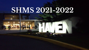## **SHMS 2021-2022**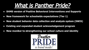## What is Panther Pride?

- **● SHMS version of Positive Behavioral Interventions and Supports**
- **● New framework for schoolwide expectations (Tier 1)**
- **● New student behavior data collection and analysis system (SWIS)**
- **● Existing and expanded student acknowledgement program**
- **New moniker to strengthening our school culture and identity**

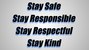# Stay Safe Stay Responsible Stay Respectful Stay Kind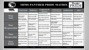

#### SHMS PANTHER PRIDE MATRIX Pauther



|                                          | <b>Classroom</b>                                                                                                      | <b>Hallway</b>                                                                                                | Cafeteria &<br><b>Recess</b>                                                                                                               | <b>Bathroom &amp;</b><br><b>Locker Rooms</b>                                                                                                                                     | <b>Auditorium</b>                                                                                            | <b>Bus</b>                                                                                                |
|------------------------------------------|-----------------------------------------------------------------------------------------------------------------------|---------------------------------------------------------------------------------------------------------------|--------------------------------------------------------------------------------------------------------------------------------------------|----------------------------------------------------------------------------------------------------------------------------------------------------------------------------------|--------------------------------------------------------------------------------------------------------------|-----------------------------------------------------------------------------------------------------------|
| <b>Stay</b><br><b>Safe</b>               | <b>Maintain Safe Body</b><br><b>Follow teacher</b><br>expectations<br><b>Follow electronic</b><br>device expectations | <b>Maintain Safe Body</b><br>Walk on the right<br><b>Follow electronic de-</b><br>vice expectations           | <b>Maintain Safe Body</b><br>Be mindful of your space<br><b>Stay seated (cafeteria)</b><br><b>Follow electronic device</b><br>expectations | <b>Maintain Safe Body</b><br><b>Wash hands</b><br><b>Follow electronic device</b><br>expectations                                                                                | <b>Maintain Safe Body</b><br><b>Sit in directed seats</b><br><b>Follow electronic</b><br>device expectations | <b>Maintain Safe Body</b><br><b>Keep aisles clear</b><br><b>Cross at least 10 feet</b><br>in front of bus |
| <b>Stay</b><br>Responsible Be an engaged | <b>Come prepared</b><br>Be a good digital<br>citizen<br>learner                                                       | <b>Walk promptly to</b><br>destination<br><b>Utilize hall pass</b><br>Utilize lockers at<br>appropriate times | <b>Clean your lunch space</b><br>Place trash in receptacle<br><b>Report issues to adults</b>                                               | <b>Utilize supplies</b><br>appropriately<br>Place trash in receptacle<br>Utilize appropriate<br>amount of time<br><b>Utilize bathroom pass</b><br><b>Report issues to adults</b> | <b>Report issues to adults destination</b><br>Be an engaged listener Follow directions                       | <b>Walk promptly to</b>                                                                                   |
| <b>Stay</b><br><b>Respectful</b>         | <b>Use Level 1 voice</b><br>Raise your hand<br><b>Be an active listener</b><br>Keep an open mind                      | <b>Care for school</b><br>property<br><b>Use Level 1 voice</b>                                                | <b>Care for school property</b><br><b>Use Level 1 voice</b><br>(cafeteria)<br><b>Use Level 2 voice (recess)</b>                            | <b>Care for school property</b><br><b>Maintain personal space</b>                                                                                                                | <b>Care for school</b><br>property<br>Use appropriate voice<br>level<br>Keep an open mind                    | <b>Use Level 1 voice</b><br><b>Board and exit</b><br>calmly                                               |
| <b>Stay</b><br>Kind                      | <b>Use positive words</b><br><b>Include and accept</b><br>others                                                      | <b>Use positive words</b><br><b>Greet others politely</b>                                                     | <b>Use positive words</b><br><b>Be polite</b><br>Include and accept others                                                                 | <b>Use positive words</b><br><b>Be considerate of others</b>                                                                                                                     | <b>Show appreciation</b><br><b>Applaud</b><br>appropriately                                                  | <b>Use positive words</b><br><b>Be polite</b>                                                             |
|                                          | <b>VOICE LEVELS:</b>                                                                                                  | $0 =$ Silent                                                                                                  | $1 =$ Quiet conversation                                                                                                                   | $2$ = Presentation voice                                                                                                                                                         | $3 =$ Applauding                                                                                             |                                                                                                           |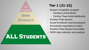

#### **Tier 1 (21-22)**

- Student recognition program
	- Panthers of the Month
	- Panther Paws ticket distribution
- Panther Pride lessons
- Social Emotional Learning lessons
- Schoolwide expectations matrix
- Panther Pride Student Committee
- SWIS data collection and analysis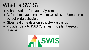## What is SWIS?

- School-Wide Information System
- Referral management system to collect information on school-wide behaviors
- Gives real time data on school-wide trends
- Provides data to PBIS Core Team to plan targeted lessons

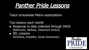

Teach schoolwide Matrix expectations

Two lessons each month

- Response to data collected through SWIS (Bathroom, Hallway, Classroom review)
- SEL Lessons

(Kindness, Empathy, Social Awareness)

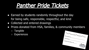## Panther Pride Tickets

- Earned by students randomly throughout the day for being safe, responsible, respectful, and kind
- Collected and entered drawings
- Prizes donated from HSA, families, & community members
	- Tangible
	- Experiences

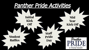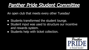### Panther Pride Student Committee

An open club that meets every other Tuesday!

- Students transformed the student lounge.
- Student input was used to structure our incentive and rewards system.
- Students help with ticket collection.